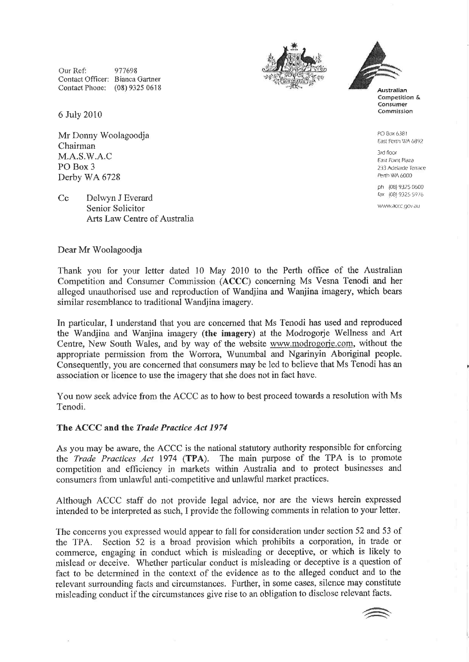977698 Our Ref: Contact Officer: Bianca Gartner Contact Phone:  $(08)$  9325 0618





Australian Competition & Consumer Commission

PO Box 6381 East Perth WA 6892

3rd floor East Boiot Plaza 233 Adelaide Terrace Perth WA 6000

ph (08) 9325 0600 fax (08) 9325 5976

www.accc.gov.au

6 July 2010

Mr Donny Woolagoodja Chairman M.A.S.W.A.C PO Box 3 Derby WA 6728

Delwyn J Everard  $Cc$ Senior Solicitor Arts Law Centre of Australia

## Dear Mr Woolagoodja

Thank you for your letter dated 10 May 2010 to the Perth office of the Australian Competition and Consumer Commission (ACCC) concerning Ms Vesna Tenodi and her alleged unauthorised use and reproduction of Wandjina and Wanjina imagery, which bears similar resemblance to traditional Wandjina imagery.

In particular, I understand that you are concerned that Ms Tenodi has used and reproduced the Wandjina and Wanjina imagery (the imagery) at the Modrogorje Wellness and Art Centre, New South Wales, and by way of the website www.modrogorie.com, without the appropriate permission from the Worrora, Wunumbal and Ngarinyin Aboriginal people. Consequently, you are concerned that consumers may be led to believe that Ms Tenodi has an association or licence to use the imagery that she does not in fact have.

You now seek advice from the ACCC as to how to best proceed towards a resolution with Ms Tenodi.

## The ACCC and the Trade Practice Act 1974

As you may be aware, the ACCC is the national statutory authority responsible for enforcing the Trade Practices Act 1974 (TPA). The main purpose of the TPA is to promote competition and efficiency in markets within Australia and to protect businesses and consumers from unlawful anti-competitive and unlawful market practices.

Although ACCC staff do not provide legal advice, nor are the views herein expressed intended to be interpreted as such, I provide the following comments in relation to your letter.

The concerns you expressed would appear to fall for consideration under section 52 and 53 of Section 52 is a broad provision which prohibits a corporation, in trade or the TPA. commerce, engaging in conduct which is misleading or deceptive, or which is likely to mislead or deceive. Whether particular conduct is misleading or deceptive is a question of fact to be determined in the context of the evidence as to the alleged conduct and to the relevant surrounding facts and circumstances. Further, in some cases, silence may constitute misleading conduct if the circumstances give rise to an obligation to disclose relevant facts.